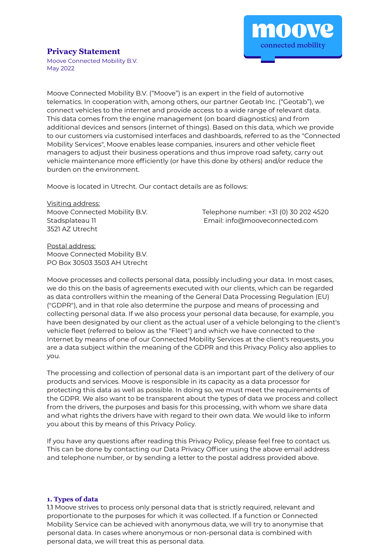

# **Privacy Statement**

Moove Connected Mobility B.V. May 2022

Moove Connected Mobility B.V. ("Moove") is an expert in the field of automotive telematics. In cooperation with, among others, our partner Geotab Inc. ("Geotab"), we connect vehicles to the internet and provide access to a wide range of relevant data. This data comes from the engine management (on board diagnostics) and from additional devices and sensors (internet of things). Based on this data, which we provide to our customers via customised interfaces and dashboards, referred to as the "Connected Mobility Services", Moove enables lease companies, insurers and other vehicle fleet managers to adjust their business operations and thus improve road safety, carry out vehicle maintenance more efficiently (or have this done by others) and/or reduce the burden on the environment.

Moove is located in Utrecht. Our contact details are as follows:

Visiting address: 3521 AZ Utrecht

Moove Connected Mobility B.V. Telephone number: +31 (0) 30 202 4520 Stadsplateau 11 Email: info@mooveconnected.com

Postal address: Moove Connected Mobility B.V. PO Box 30503 3503 AH Utrecht

Moove processes and collects personal data, possibly including your data. In most cases, we do this on the basis of agreements executed with our clients, which can be regarded as data controllers within the meaning of the General Data Processing Regulation (EU) ("GDPR"), and in that role also determine the purpose and means of processing and collecting personal data. If we also process your personal data because, for example, you have been designated by our client as the actual user of a vehicle belonging to the client's vehicle fleet (referred to below as the "Fleet") and which we have connected to the Internet by means of one of our Connected Mobility Services at the client's requests, you are a data subject within the meaning of the GDPR and this Privacy Policy also applies to you.

The processing and collection of personal data is an important part of the delivery of our products and services. Moove is responsible in its capacity as a data processor for protecting this data as well as possible. In doing so, we must meet the requirements of the GDPR. We also want to be transparent about the types of data we process and collect from the drivers, the purposes and basis for this processing, with whom we share data and what rights the drivers have with regard to their own data. We would like to inform you about this by means of this Privacy Policy.

If you have any questions after reading this Privacy Policy, please feel free to contact us. This can be done by contacting our Data Privacy Officer using the above email address and telephone number, or by sending a letter to the postal address provided above.

### **1. Types of data**

1.1 Moove strives to process only personal data that is strictly required, relevant and proportionate to the purposes for which it was collected. If a function or Connected Mobility Service can be achieved with anonymous data, we will try to anonymise that personal data. In cases where anonymous or non-personal data is combined with personal data, we will treat this as personal data.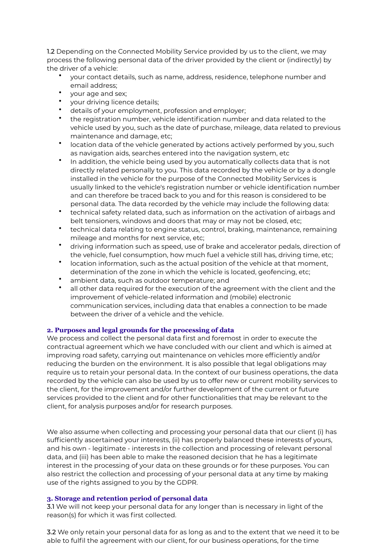1.2 Depending on the Connected Mobility Service provided by us to the client, we may process the following personal data of the driver provided by the client or (indirectly) by the driver of a vehicle:

- your contact details, such as name, address, residence, telephone number and email address;
- your age and sex;
- your driving licence details;
- details of your employment, profession and employer;
- the registration number, vehicle identification number and data related to the vehicle used by you, such as the date of purchase, mileage, data related to previous maintenance and damage, etc;
- location data of the vehicle generated by actions actively performed by you, such as navigation aids, searches entered into the navigation system, etc
- In addition, the vehicle being used by you automatically collects data that is not directly related personally to you. This data recorded by the vehicle or by a dongle installed in the vehicle for the purpose of the Connected Mobility Services is usually linked to the vehicle's registration number or vehicle identification number and can therefore be traced back to you and for this reason is considered to be personal data. The data recorded by the vehicle may include the following data:
- technical safety related data, such as information on the activation of airbags and belt tensioners, windows and doors that may or may not be closed, etc;
- technical data relating to engine status, control, braking, maintenance, remaining mileage and months for next service, etc;
- driving information such as speed, use of brake and accelerator pedals, direction of the vehicle, fuel consumption, how much fuel a vehicle still has, driving time, etc;
- location information, such as the actual position of the vehicle at that moment, determination of the zone in which the vehicle is located, geofencing, etc;
- ambient data, such as outdoor temperature; and
- all other data required for the execution of the agreement with the client and the improvement of vehicle-related information and (mobile) electronic communication services, including data that enables a connection to be made between the driver of a vehicle and the vehicle.

## **2. Purposes and legal grounds for the processing of data**

We process and collect the personal data first and foremost in order to execute the contractual agreement which we have concluded with our client and which is aimed at improving road safety, carrying out maintenance on vehicles more efficiently and/or reducing the burden on the environment. It is also possible that legal obligations may require us to retain your personal data. In the context of our business operations, the data recorded by the vehicle can also be used by us to offer new or current mobility services to the client, for the improvement and/or further development of the current or future services provided to the client and for other functionalities that may be relevant to the client, for analysis purposes and/or for research purposes.

We also assume when collecting and processing your personal data that our client (i) has sufficiently ascertained your interests, (ii) has properly balanced these interests of yours, and his own - legitimate - interests in the collection and processing of relevant personal data, and (iii) has been able to make the reasoned decision that he has a legitimate interest in the processing of your data on these grounds or for these purposes. You can also restrict the collection and processing of your personal data at any time by making use of the rights assigned to you by the GDPR.

## **3. Storage and retention period of personal data**

3.1 We will not keep your personal data for any longer than is necessary in light of the reason(s) for which it was first collected.

3.2 We only retain your personal data for as long as and to the extent that we need it to be able to fulfil the agreement with our client, for our business operations, for the time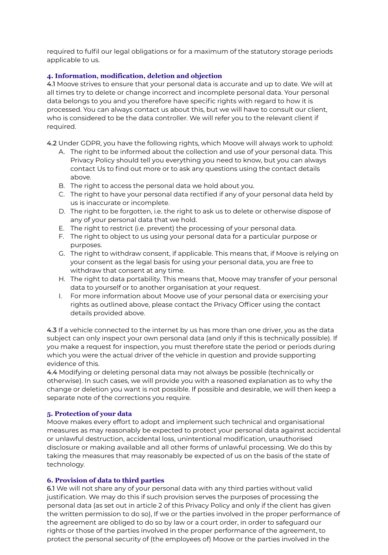required to fulfil our legal obligations or for a maximum of the statutory storage periods applicable to us.

## **4. Information, modification, deletion and objection**

4.1 Moove strives to ensure that your personal data is accurate and up to date. We will at all times try to delete or change incorrect and incomplete personal data. Your personal data belongs to you and you therefore have specific rights with regard to how it is processed. You can always contact us about this, but we will have to consult our client, who is considered to be the data controller. We will refer you to the relevant client if required.

- 4.2 Under GDPR, you have the following rights, which Moove will always work to uphold:
	- A. The right to be informed about the collection and use of your personal data. This Privacy Policy should tell you everything you need to know, but you can always contact Us to find out more or to ask any questions using the contact details above.
	- B. The right to access the personal data we hold about you.
	- C. The right to have your personal data rectified if any of your personal data held by us is inaccurate or incomplete.
	- D. The right to be forgotten, i.e. the right to ask us to delete or otherwise dispose of any of your personal data that we hold.
	- E. The right to restrict (i.e. prevent) the processing of your personal data.
	- F. The right to object to us using your personal data for a particular purpose or purposes.
	- G. The right to withdraw consent, if applicable. This means that, if Moove is relying on your consent as the legal basis for using your personal data, you are free to withdraw that consent at any time.
	- H. The right to data portability. This means that, Moove may transfer of your personal data to yourself or to another organisation at your request.
	- I. For more information about Moove use of your personal data or exercising your rights as outlined above, please contact the Privacy Officer using the contact details provided above.

4.3 If a vehicle connected to the internet by us has more than one driver, you as the data subject can only inspect your own personal data (and only if this is technically possible). If you make a request for inspection, you must therefore state the period or periods during which you were the actual driver of the vehicle in question and provide supporting evidence of this.

4.4 Modifying or deleting personal data may not always be possible (technically or otherwise). In such cases, we will provide you with a reasoned explanation as to why the change or deletion you want is not possible. If possible and desirable, we will then keep a separate note of the corrections you require.

### **5. Protection of your data**

Moove makes every effort to adopt and implement such technical and organisational measures as may reasonably be expected to protect your personal data against accidental or unlawful destruction, accidental loss, unintentional modification, unauthorised disclosure or making available and all other forms of unlawful processing. We do this by taking the measures that may reasonably be expected of us on the basis of the state of technology.

## **6. Provision of data to third parties**

6.1 We will not share any of your personal data with any third parties without valid justification. We may do this if such provision serves the purposes of processing the personal data (as set out in article 2 of this Privacy Policy and only if the client has given the written permission to do so), If we or the parties involved in the proper performance of the agreement are obliged to do so by law or a court order, in order to safeguard our rights or those of the parties involved in the proper performance of the agreement, to protect the personal security of (the employees of) Moove or the parties involved in the